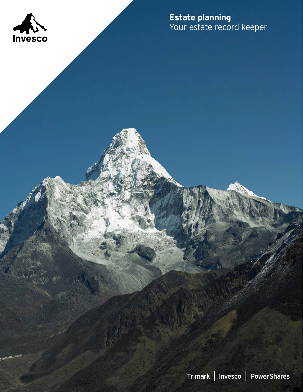

**Estate planning** Your estate record keeper

Trimark | Invesco | PowerShares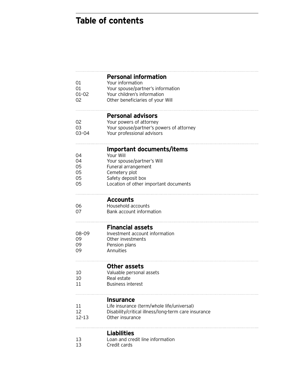# **Table of contents**

| 01<br>01<br>$01 - 02$<br>02      | <b>Personal information</b><br>Your information<br>Your spouse/partner's information<br>Your children's information<br>Other beneficiaries of your Will                     |
|----------------------------------|-----------------------------------------------------------------------------------------------------------------------------------------------------------------------------|
| 02<br>03<br>$03 - 04$            | <b>Personal advisors</b><br>Your powers of attorney<br>Your spouse/partner's powers of attorney<br>Your professional advisors                                               |
| 04<br>04<br>05<br>05<br>05<br>05 | Important documents/items<br>Your Will<br>Your spouse/partner's Will<br>Funeral arrangement<br>Cemetery plot<br>Safety deposit box<br>Location of other important documents |
| 06<br>07                         | <b>Accounts</b><br>Household accounts<br>Bank account information                                                                                                           |
| 08-09<br>09<br>09<br>09          | <b>Financial assets</b><br>Investment account information<br>Other investments<br>Pension plans<br>Annuities                                                                |
| 10<br>10<br>11                   | Other assets<br>Valuable personal assets<br>Real estate<br><b>Business interest</b>                                                                                         |
| 11<br>12<br>12-13                | <b>Insurance</b><br>Life insurance (term/whole life/universal)<br>Disability/critical illness/long-term care insurance<br>Other insurance                                   |
| 13<br>13                         | Liabilities<br>Loan and credit line information<br>Credit cards                                                                                                             |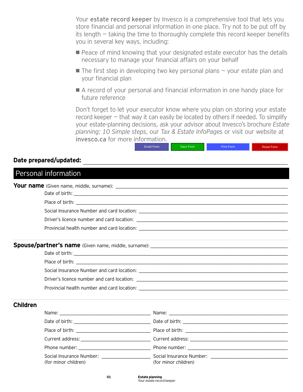Your estate record keeper by Invesco is a comprehensive tool that lets you store financial and personal information in one place. Try not to be put off by its length – taking the time to thoroughly complete this record keeper benefits you in several key ways, including:

- **Peace of mind knowing that your designated estate executor has the details** necessary to manage your financial affairs on your behalf
- $\blacksquare$  The first step in developing two key personal plans  $\vdash$  your estate plan and your financial plan
- A record of your personal and financial information in one handy place for future reference

Don't forget to let your executor know where you plan on storing your estate record keeper – that way it can easily be located by others if needed. To simplify your estate-planning decisions, ask your advisor about Invesco's brochure *Estate planning: 10 Simple steps*, our *Tax & Estate InfoPages* or visit our website at invesco.ca for more information.

Email Form Save Form **Print Form Reset Form** 

#### Date prepared/updated:

|                 | Personal information |                                                                                                                                        |  |  |
|-----------------|----------------------|----------------------------------------------------------------------------------------------------------------------------------------|--|--|
|                 |                      |                                                                                                                                        |  |  |
|                 |                      |                                                                                                                                        |  |  |
|                 |                      |                                                                                                                                        |  |  |
|                 |                      |                                                                                                                                        |  |  |
|                 |                      |                                                                                                                                        |  |  |
|                 |                      |                                                                                                                                        |  |  |
|                 |                      |                                                                                                                                        |  |  |
|                 |                      |                                                                                                                                        |  |  |
|                 |                      |                                                                                                                                        |  |  |
|                 |                      |                                                                                                                                        |  |  |
|                 |                      |                                                                                                                                        |  |  |
| <b>Children</b> |                      |                                                                                                                                        |  |  |
|                 |                      |                                                                                                                                        |  |  |
|                 |                      |                                                                                                                                        |  |  |
|                 |                      |                                                                                                                                        |  |  |
|                 |                      |                                                                                                                                        |  |  |
|                 |                      |                                                                                                                                        |  |  |
|                 | (for minor children) | Social Insurance Number: ________________________________Social Insurance Number: ____________________________<br>(for minor children) |  |  |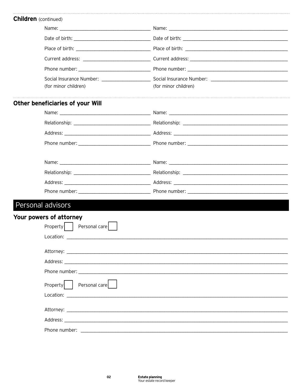| <b>Children</b> (continued)                                                                                                                                                                                                    |                                                                                                                                                                                                                                |
|--------------------------------------------------------------------------------------------------------------------------------------------------------------------------------------------------------------------------------|--------------------------------------------------------------------------------------------------------------------------------------------------------------------------------------------------------------------------------|
|                                                                                                                                                                                                                                |                                                                                                                                                                                                                                |
|                                                                                                                                                                                                                                |                                                                                                                                                                                                                                |
|                                                                                                                                                                                                                                |                                                                                                                                                                                                                                |
|                                                                                                                                                                                                                                | Current address: Current address: Current address:                                                                                                                                                                             |
| Phone number: and the state of the state of the state of the state of the state of the state of the state of the state of the state of the state of the state of the state of the state of the state of the state of the state | Phone number: and the state of the state of the state of the state of the state of the state of the state of the state of the state of the state of the state of the state of the state of the state of the state of the state |
|                                                                                                                                                                                                                                | Social Insurance Number: Social Insurance Number:                                                                                                                                                                              |
| (for minor children)                                                                                                                                                                                                           | (for minor children)                                                                                                                                                                                                           |

### Other beneficiaries of your Will

## Personal advisors

| Your powers of attorney                                                                                                                                                                                                        |
|--------------------------------------------------------------------------------------------------------------------------------------------------------------------------------------------------------------------------------|
| Personal care<br>Property                                                                                                                                                                                                      |
|                                                                                                                                                                                                                                |
|                                                                                                                                                                                                                                |
|                                                                                                                                                                                                                                |
|                                                                                                                                                                                                                                |
| Personal care<br>Property                                                                                                                                                                                                      |
|                                                                                                                                                                                                                                |
|                                                                                                                                                                                                                                |
|                                                                                                                                                                                                                                |
| Phone number: and the state of the state of the state of the state of the state of the state of the state of the state of the state of the state of the state of the state of the state of the state of the state of the state |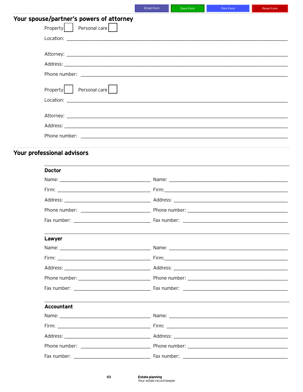|                                          | <b>Email Form</b> | Save Form | <b>Print Form</b> | <b>Reset Form</b> |
|------------------------------------------|-------------------|-----------|-------------------|-------------------|
| Your spouse/partner's powers of attorney |                   |           |                   |                   |
| Property   Personal care                 |                   |           |                   |                   |
|                                          |                   |           |                   |                   |
|                                          |                   |           |                   |                   |
|                                          |                   |           |                   |                   |
|                                          |                   |           |                   |                   |
|                                          |                   |           |                   |                   |
| Property   Personal care                 |                   |           |                   |                   |
|                                          |                   |           |                   |                   |
|                                          |                   |           |                   |                   |
|                                          |                   |           |                   |                   |
|                                          |                   |           |                   |                   |
|                                          |                   |           |                   |                   |
| Your professional advisors               |                   |           |                   |                   |
|                                          |                   |           |                   |                   |
| <b>Doctor</b>                            |                   |           |                   |                   |
|                                          |                   |           |                   |                   |
|                                          |                   |           |                   |                   |
|                                          |                   |           |                   |                   |
|                                          |                   |           |                   |                   |
|                                          |                   |           |                   |                   |
| Lawyer                                   |                   |           |                   |                   |
|                                          |                   |           |                   |                   |
|                                          |                   |           |                   |                   |
|                                          |                   |           |                   |                   |
|                                          |                   |           |                   |                   |
|                                          |                   |           |                   |                   |
|                                          |                   |           |                   |                   |
| Accountant                               |                   |           |                   |                   |
|                                          |                   |           |                   |                   |
|                                          |                   |           |                   |                   |
|                                          |                   |           |                   |                   |
|                                          |                   |           |                   |                   |
|                                          |                   |           |                   |                   |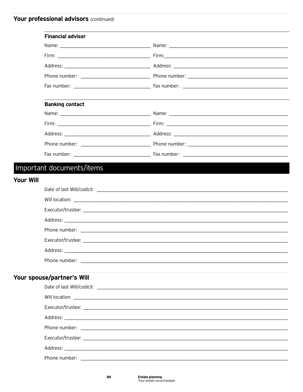### Your professional advisors (continued)

|                  | <b>Financial advisor</b>   |                                                                                                                                                                                                                                |  |
|------------------|----------------------------|--------------------------------------------------------------------------------------------------------------------------------------------------------------------------------------------------------------------------------|--|
|                  |                            |                                                                                                                                                                                                                                |  |
|                  |                            |                                                                                                                                                                                                                                |  |
|                  |                            |                                                                                                                                                                                                                                |  |
|                  |                            |                                                                                                                                                                                                                                |  |
|                  |                            |                                                                                                                                                                                                                                |  |
|                  |                            |                                                                                                                                                                                                                                |  |
|                  | <b>Banking contact</b>     |                                                                                                                                                                                                                                |  |
|                  |                            |                                                                                                                                                                                                                                |  |
|                  |                            |                                                                                                                                                                                                                                |  |
|                  |                            |                                                                                                                                                                                                                                |  |
|                  |                            |                                                                                                                                                                                                                                |  |
|                  |                            |                                                                                                                                                                                                                                |  |
|                  | Important documents/items  |                                                                                                                                                                                                                                |  |
| <b>Your Will</b> |                            |                                                                                                                                                                                                                                |  |
|                  |                            |                                                                                                                                                                                                                                |  |
|                  |                            |                                                                                                                                                                                                                                |  |
|                  |                            |                                                                                                                                                                                                                                |  |
|                  |                            |                                                                                                                                                                                                                                |  |
|                  |                            |                                                                                                                                                                                                                                |  |
|                  |                            |                                                                                                                                                                                                                                |  |
|                  |                            | Address: Address: Address: Address: Address: Address: Address: Address: Address: Address: Address: A                                                                                                                           |  |
|                  |                            |                                                                                                                                                                                                                                |  |
|                  |                            |                                                                                                                                                                                                                                |  |
|                  | Your spouse/partner's Will |                                                                                                                                                                                                                                |  |
|                  |                            |                                                                                                                                                                                                                                |  |
|                  |                            |                                                                                                                                                                                                                                |  |
|                  |                            |                                                                                                                                                                                                                                |  |
|                  |                            | Address: Andreas Address: Address: Address: Address: Address: Address: Address: Address: Address: Address: Address: Address: Address: Address: Address: Address: Address: Address: Address: Address: Address: Address: Address |  |
|                  |                            |                                                                                                                                                                                                                                |  |
|                  |                            |                                                                                                                                                                                                                                |  |
|                  |                            |                                                                                                                                                                                                                                |  |
|                  |                            |                                                                                                                                                                                                                                |  |
|                  |                            |                                                                                                                                                                                                                                |  |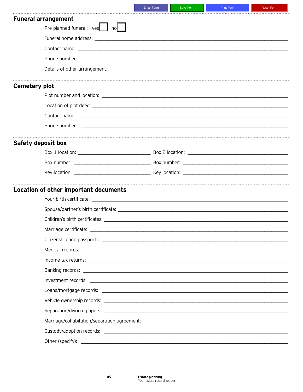| <b>Funeral arrangement</b>            |                                                                                                                |
|---------------------------------------|----------------------------------------------------------------------------------------------------------------|
| Pre-planned funeral: yes   no         |                                                                                                                |
|                                       |                                                                                                                |
|                                       |                                                                                                                |
|                                       |                                                                                                                |
|                                       |                                                                                                                |
|                                       |                                                                                                                |
| <b>Cemetery plot</b>                  |                                                                                                                |
|                                       |                                                                                                                |
|                                       |                                                                                                                |
|                                       |                                                                                                                |
|                                       |                                                                                                                |
|                                       |                                                                                                                |
| Safety deposit box                    |                                                                                                                |
|                                       |                                                                                                                |
|                                       |                                                                                                                |
|                                       |                                                                                                                |
| Location of other important documents |                                                                                                                |
|                                       |                                                                                                                |
|                                       |                                                                                                                |
|                                       |                                                                                                                |
| Marriage certificate:                 |                                                                                                                |
|                                       |                                                                                                                |
|                                       |                                                                                                                |
|                                       |                                                                                                                |
|                                       |                                                                                                                |
|                                       |                                                                                                                |
|                                       |                                                                                                                |
|                                       | Vehicle ownership records: etc. and the context of the context of the context of the context of the context of |
|                                       |                                                                                                                |
|                                       |                                                                                                                |
|                                       |                                                                                                                |
|                                       |                                                                                                                |
|                                       |                                                                                                                |

Email Form

Save Form

Reset Form

.<br>Delet Ester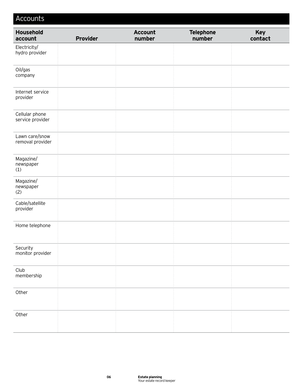| Accounts                           |                 |                          |                            |                |
|------------------------------------|-----------------|--------------------------|----------------------------|----------------|
| Household<br>account               | <b>Provider</b> | <b>Account</b><br>number | <b>Telephone</b><br>number | Key<br>contact |
| Electricity/<br>hydro provider     |                 |                          |                            |                |
| Oil/gas<br>company                 |                 |                          |                            |                |
| Internet service<br>provider       |                 |                          |                            |                |
| Cellular phone<br>service provider |                 |                          |                            |                |
| Lawn care/snow<br>removal provider |                 |                          |                            |                |
| Magazine/<br>newspaper<br>(1)      |                 |                          |                            |                |
| Magazine/<br>newspaper<br>(2)      |                 |                          |                            |                |
| Cable/satellite<br>provider        |                 |                          |                            |                |
| Home telephone                     |                 |                          |                            |                |
| Security<br>monitor provider       |                 |                          |                            |                |
| Club<br>membership                 |                 |                          |                            |                |
| Other                              |                 |                          |                            |                |
| Other                              |                 |                          |                            |                |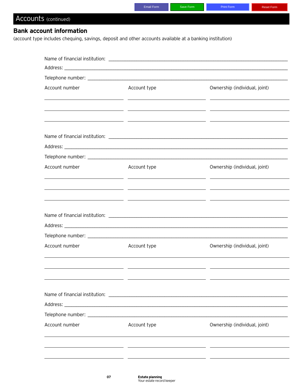|                      |                                 | <b>Email Form</b>                                                                                        | Save Form                                       | Print Form                    | <b>Reset Form</b> |
|----------------------|---------------------------------|----------------------------------------------------------------------------------------------------------|-------------------------------------------------|-------------------------------|-------------------|
| Accounts (continued) |                                 |                                                                                                          |                                                 |                               |                   |
|                      | <b>Bank account information</b> |                                                                                                          |                                                 |                               |                   |
|                      |                                 | (account type includes chequing, savings, deposit and other accounts available at a banking institution) |                                                 |                               |                   |
|                      |                                 |                                                                                                          |                                                 |                               |                   |
|                      |                                 |                                                                                                          |                                                 |                               |                   |
|                      |                                 |                                                                                                          |                                                 |                               |                   |
|                      |                                 |                                                                                                          |                                                 |                               |                   |
|                      | Account number                  | Account type                                                                                             |                                                 | Ownership (individual, joint) |                   |
|                      |                                 |                                                                                                          |                                                 |                               |                   |
|                      |                                 | <u> 1990 - Andrea Andrew Maria (h. 1980).</u><br>1901 - Andrew Maria (h. 1902).                          |                                                 |                               |                   |
|                      |                                 | <u> 1990 - Jan James James Barnett, militar eta idazleari (h. 1905).</u>                                 |                                                 |                               |                   |
|                      |                                 |                                                                                                          |                                                 |                               |                   |
|                      |                                 |                                                                                                          |                                                 |                               |                   |
|                      |                                 |                                                                                                          |                                                 |                               |                   |
|                      | Account number                  | Account type                                                                                             |                                                 | Ownership (individual, joint) |                   |
|                      |                                 |                                                                                                          |                                                 |                               |                   |
|                      |                                 | <u> 1990 - Jan James James Sandarík (f. 1980)</u>                                                        |                                                 |                               |                   |
|                      |                                 |                                                                                                          | the contract of the contract of the contract of |                               |                   |
|                      |                                 |                                                                                                          |                                                 |                               |                   |
|                      |                                 |                                                                                                          |                                                 |                               |                   |
|                      |                                 |                                                                                                          |                                                 |                               |                   |
|                      |                                 |                                                                                                          |                                                 |                               |                   |
|                      | Account number                  | Account type                                                                                             |                                                 | Ownership (individual, joint) |                   |

| Ownership (individual, joint) |
|-------------------------------|
|                               |
|                               |
|                               |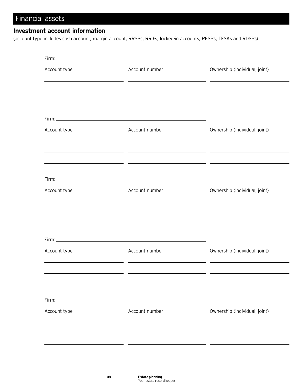# Financial assets

### **Investment account information**

(account type includes cash account, margin account, RRSPs, RRIFs, locked-in accounts, RESPs, TFSAs and RDSPs)

| Account type | Account number<br><u> 1989 - Johann Stoff, fransk politik (d. 1989)</u><br><u> 1989 - Johann Stoff, fransk politik (d. 1989)</u> | Ownership (individual, joint)                                                                                                                                                                                                                  |
|--------------|----------------------------------------------------------------------------------------------------------------------------------|------------------------------------------------------------------------------------------------------------------------------------------------------------------------------------------------------------------------------------------------|
|              |                                                                                                                                  | <u> 1990 - Andrea Andrew Maria (h. 1980).</u>                                                                                                                                                                                                  |
|              |                                                                                                                                  |                                                                                                                                                                                                                                                |
| Account type | Account number<br><u> 1989 - John Stein, Amerikaansk konst</u>                                                                   | Ownership (individual, joint)                                                                                                                                                                                                                  |
|              |                                                                                                                                  | <u> 1990 - Jan James James, maria eta idazleari (h. 1980).</u><br><u> 1999 - Johann Harry Harry, maritan amerikan (h. 1989).</u>                                                                                                               |
|              | Firm: <u>Contract Communication of the Communication</u>                                                                         |                                                                                                                                                                                                                                                |
| Account type | Account number                                                                                                                   | Ownership (individual, joint)<br><u> 2000 - Andrea Andrea Andrea Andrea Andrea Andrea Andrea Andrea Andrea Andrea Andrea Andrea Andrea Andrea And</u>                                                                                          |
|              |                                                                                                                                  | <u> 1999 - Johann John Stein, mars and deutscher Stein (besteht der Stein und der Stein und der Stein und der Stei</u><br><u> 1990 - Jan James James James James James James James James James James James James James James James James J</u> |
|              |                                                                                                                                  |                                                                                                                                                                                                                                                |
| Account type | Account number                                                                                                                   | Ownership (individual, joint)                                                                                                                                                                                                                  |
|              |                                                                                                                                  |                                                                                                                                                                                                                                                |
|              |                                                                                                                                  |                                                                                                                                                                                                                                                |
| Account type | Account number                                                                                                                   | Ownership (individual, joint)                                                                                                                                                                                                                  |
|              |                                                                                                                                  |                                                                                                                                                                                                                                                |
|              |                                                                                                                                  |                                                                                                                                                                                                                                                |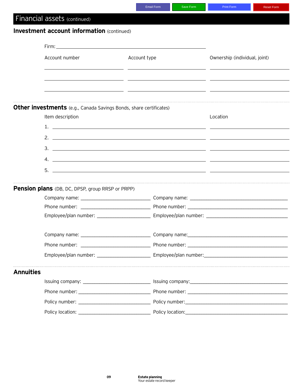|                  |                                                                                                                                                                                                                                                                                                                        | <b>Email Form</b> | Save Form | <b>Print Form</b>             | <b>Reset Form</b> |
|------------------|------------------------------------------------------------------------------------------------------------------------------------------------------------------------------------------------------------------------------------------------------------------------------------------------------------------------|-------------------|-----------|-------------------------------|-------------------|
|                  | Financial assets (continued)                                                                                                                                                                                                                                                                                           |                   |           |                               |                   |
|                  | <b>Investment account information (continued)</b>                                                                                                                                                                                                                                                                      |                   |           |                               |                   |
|                  |                                                                                                                                                                                                                                                                                                                        |                   |           |                               |                   |
|                  |                                                                                                                                                                                                                                                                                                                        |                   |           |                               |                   |
|                  | Account number                                                                                                                                                                                                                                                                                                         | Account type      |           | Ownership (individual, joint) |                   |
|                  |                                                                                                                                                                                                                                                                                                                        |                   |           |                               |                   |
|                  |                                                                                                                                                                                                                                                                                                                        |                   |           |                               |                   |
|                  |                                                                                                                                                                                                                                                                                                                        |                   |           |                               |                   |
|                  | <b>Other investments</b> (e.g., Canada Savings Bonds, share certificates)                                                                                                                                                                                                                                              |                   |           |                               |                   |
|                  | Item description                                                                                                                                                                                                                                                                                                       |                   |           | Location                      |                   |
|                  |                                                                                                                                                                                                                                                                                                                        |                   |           |                               |                   |
|                  | 2. $\frac{1}{2}$ $\frac{1}{2}$ $\frac{1}{2}$ $\frac{1}{2}$ $\frac{1}{2}$ $\frac{1}{2}$ $\frac{1}{2}$ $\frac{1}{2}$ $\frac{1}{2}$ $\frac{1}{2}$ $\frac{1}{2}$ $\frac{1}{2}$ $\frac{1}{2}$ $\frac{1}{2}$ $\frac{1}{2}$ $\frac{1}{2}$ $\frac{1}{2}$ $\frac{1}{2}$ $\frac{1}{2}$ $\frac{1}{2}$ $\frac{1}{2}$ $\frac{1}{2}$ |                   |           |                               |                   |
|                  |                                                                                                                                                                                                                                                                                                                        |                   |           |                               |                   |
|                  |                                                                                                                                                                                                                                                                                                                        |                   |           |                               |                   |
|                  |                                                                                                                                                                                                                                                                                                                        |                   |           |                               |                   |
|                  |                                                                                                                                                                                                                                                                                                                        |                   |           |                               |                   |
|                  | <b>Pension plans</b> (DB, DC, DPSP, group RRSP or PRPP)                                                                                                                                                                                                                                                                |                   |           |                               |                   |
|                  |                                                                                                                                                                                                                                                                                                                        |                   |           |                               |                   |
|                  |                                                                                                                                                                                                                                                                                                                        |                   |           |                               |                   |
|                  |                                                                                                                                                                                                                                                                                                                        |                   |           |                               |                   |
|                  |                                                                                                                                                                                                                                                                                                                        |                   |           |                               |                   |
|                  |                                                                                                                                                                                                                                                                                                                        |                   |           |                               |                   |
|                  |                                                                                                                                                                                                                                                                                                                        |                   |           |                               |                   |
| <b>Annuities</b> |                                                                                                                                                                                                                                                                                                                        |                   |           |                               |                   |
|                  |                                                                                                                                                                                                                                                                                                                        |                   |           |                               |                   |
|                  |                                                                                                                                                                                                                                                                                                                        |                   |           |                               |                   |
|                  |                                                                                                                                                                                                                                                                                                                        |                   |           |                               |                   |
|                  |                                                                                                                                                                                                                                                                                                                        |                   |           |                               |                   |
|                  |                                                                                                                                                                                                                                                                                                                        |                   |           |                               |                   |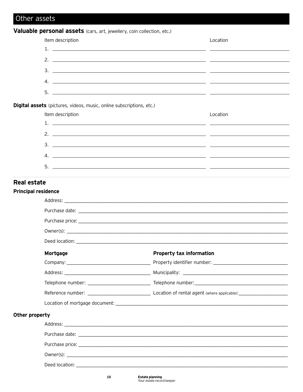# Other assets

### Valuable personal assets (cars, art, jewellery, coin collection, etc.)

|                            | Item description                                                                                                                                                                                                                                                                                                                                                                                                                                                       |                                 | Location |
|----------------------------|------------------------------------------------------------------------------------------------------------------------------------------------------------------------------------------------------------------------------------------------------------------------------------------------------------------------------------------------------------------------------------------------------------------------------------------------------------------------|---------------------------------|----------|
|                            |                                                                                                                                                                                                                                                                                                                                                                                                                                                                        |                                 |          |
|                            | 2. $\frac{1}{2}$ $\frac{1}{2}$ $\frac{1}{2}$ $\frac{1}{2}$ $\frac{1}{2}$ $\frac{1}{2}$ $\frac{1}{2}$ $\frac{1}{2}$ $\frac{1}{2}$ $\frac{1}{2}$ $\frac{1}{2}$ $\frac{1}{2}$ $\frac{1}{2}$ $\frac{1}{2}$ $\frac{1}{2}$ $\frac{1}{2}$ $\frac{1}{2}$ $\frac{1}{2}$ $\frac{1}{2}$ $\frac{1}{2}$ $\frac{1}{2}$ $\frac{1}{2}$                                                                                                                                                 |                                 |          |
|                            |                                                                                                                                                                                                                                                                                                                                                                                                                                                                        |                                 |          |
|                            |                                                                                                                                                                                                                                                                                                                                                                                                                                                                        |                                 |          |
|                            | $5.$ $\overline{\phantom{a}}$ $\overline{\phantom{a}}$ $\overline{\phantom{a}}$ $\overline{\phantom{a}}$ $\overline{\phantom{a}}$ $\overline{\phantom{a}}$ $\overline{\phantom{a}}$ $\overline{\phantom{a}}$ $\overline{\phantom{a}}$ $\overline{\phantom{a}}$ $\overline{\phantom{a}}$ $\overline{\phantom{a}}$ $\overline{\phantom{a}}$ $\overline{\phantom{a}}$ $\overline{\phantom{a}}$ $\overline{\phantom{a}}$ $\overline{\phantom{a}}$ $\overline{\phantom{a}}$ |                                 |          |
|                            | Digital assets (pictures, videos, music, online subscriptions, etc.)                                                                                                                                                                                                                                                                                                                                                                                                   |                                 |          |
|                            | Item description                                                                                                                                                                                                                                                                                                                                                                                                                                                       |                                 | Location |
|                            |                                                                                                                                                                                                                                                                                                                                                                                                                                                                        |                                 |          |
|                            | 2. $\frac{1}{2}$ $\frac{1}{2}$ $\frac{1}{2}$ $\frac{1}{2}$ $\frac{1}{2}$ $\frac{1}{2}$ $\frac{1}{2}$ $\frac{1}{2}$ $\frac{1}{2}$ $\frac{1}{2}$ $\frac{1}{2}$ $\frac{1}{2}$ $\frac{1}{2}$ $\frac{1}{2}$ $\frac{1}{2}$ $\frac{1}{2}$ $\frac{1}{2}$ $\frac{1}{2}$ $\frac{1}{2}$ $\frac{1}{2}$ $\frac{1}{2}$ $\frac{1}{2}$                                                                                                                                                 |                                 |          |
|                            |                                                                                                                                                                                                                                                                                                                                                                                                                                                                        |                                 |          |
|                            |                                                                                                                                                                                                                                                                                                                                                                                                                                                                        |                                 |          |
|                            | $5.$ $\overline{\phantom{a}}$ $\overline{\phantom{a}}$ $\overline{\phantom{a}}$ $\overline{\phantom{a}}$ $\overline{\phantom{a}}$ $\overline{\phantom{a}}$ $\overline{\phantom{a}}$ $\overline{\phantom{a}}$ $\overline{\phantom{a}}$ $\overline{\phantom{a}}$ $\overline{\phantom{a}}$ $\overline{\phantom{a}}$ $\overline{\phantom{a}}$ $\overline{\phantom{a}}$ $\overline{\phantom{a}}$ $\overline{\phantom{a}}$ $\overline{\phantom{a}}$ $\overline{\phantom{a}}$ |                                 |          |
|                            |                                                                                                                                                                                                                                                                                                                                                                                                                                                                        |                                 |          |
| Real estate                |                                                                                                                                                                                                                                                                                                                                                                                                                                                                        |                                 |          |
| <b>Principal residence</b> |                                                                                                                                                                                                                                                                                                                                                                                                                                                                        |                                 |          |
|                            |                                                                                                                                                                                                                                                                                                                                                                                                                                                                        |                                 |          |
|                            |                                                                                                                                                                                                                                                                                                                                                                                                                                                                        |                                 |          |
|                            |                                                                                                                                                                                                                                                                                                                                                                                                                                                                        |                                 |          |
|                            |                                                                                                                                                                                                                                                                                                                                                                                                                                                                        |                                 |          |
|                            |                                                                                                                                                                                                                                                                                                                                                                                                                                                                        |                                 |          |
|                            | Mortgage                                                                                                                                                                                                                                                                                                                                                                                                                                                               | <b>Property tax information</b> |          |
|                            |                                                                                                                                                                                                                                                                                                                                                                                                                                                                        |                                 |          |
|                            |                                                                                                                                                                                                                                                                                                                                                                                                                                                                        |                                 |          |
|                            |                                                                                                                                                                                                                                                                                                                                                                                                                                                                        |                                 |          |
|                            |                                                                                                                                                                                                                                                                                                                                                                                                                                                                        |                                 |          |
|                            | Location of mortgage document: New York Change and Security and Security and Security and Security and Security and Security and Security and Security and Security and Security and Security and Security and Security and Se                                                                                                                                                                                                                                         |                                 |          |
| Other property             |                                                                                                                                                                                                                                                                                                                                                                                                                                                                        |                                 |          |
|                            |                                                                                                                                                                                                                                                                                                                                                                                                                                                                        |                                 |          |
|                            |                                                                                                                                                                                                                                                                                                                                                                                                                                                                        |                                 |          |
|                            |                                                                                                                                                                                                                                                                                                                                                                                                                                                                        |                                 |          |
|                            |                                                                                                                                                                                                                                                                                                                                                                                                                                                                        |                                 |          |
|                            |                                                                                                                                                                                                                                                                                                                                                                                                                                                                        |                                 |          |
|                            |                                                                                                                                                                                                                                                                                                                                                                                                                                                                        |                                 |          |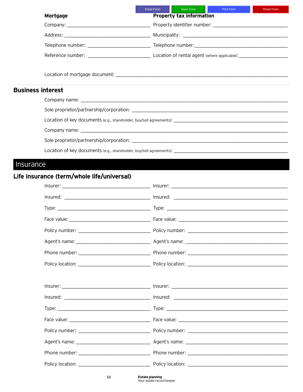|                          |          | Email Form | Save Form                       | <b>Example 19 Print Form</b> | Reset Form |
|--------------------------|----------|------------|---------------------------------|------------------------------|------------|
|                          | Mortgage |            | <b>Property tax information</b> |                              |            |
|                          |          |            |                                 |                              |            |
|                          |          |            |                                 |                              |            |
|                          |          |            |                                 |                              |            |
|                          |          |            |                                 |                              |            |
|                          |          |            |                                 |                              |            |
|                          |          |            |                                 |                              |            |
|                          |          |            |                                 |                              |            |
| <b>Business interest</b> |          |            |                                 |                              |            |
|                          |          |            |                                 |                              |            |
|                          |          |            |                                 |                              |            |
|                          |          |            |                                 |                              |            |
|                          |          |            |                                 |                              |            |
|                          |          |            |                                 |                              |            |
|                          |          |            |                                 |                              |            |
|                          |          |            |                                 |                              |            |

## Life insurance (term/whole life/universal)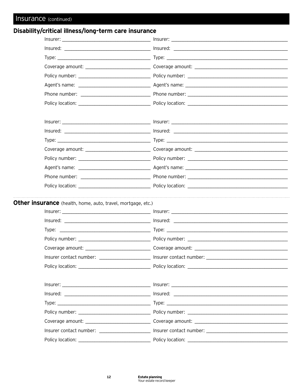### Disability/critical illness/long-term care insurance

| Other insurance (health, home, auto, travel, mortgage, etc.) |                                                                                                      |
|--------------------------------------------------------------|------------------------------------------------------------------------------------------------------|
|                                                              |                                                                                                      |
|                                                              |                                                                                                      |
|                                                              |                                                                                                      |
|                                                              |                                                                                                      |
|                                                              | Coverage amount: __________________________________Coverage amount: ________________________________ |
| Insurer contact number:                                      | Insurer contact number:                                                                              |
|                                                              |                                                                                                      |
|                                                              |                                                                                                      |
|                                                              |                                                                                                      |
|                                                              |                                                                                                      |
|                                                              |                                                                                                      |
|                                                              |                                                                                                      |
|                                                              |                                                                                                      |
|                                                              | Insurer contact number: ______________________ Insurer contact number: _____________________________ |
|                                                              |                                                                                                      |

 ${\bf 12}$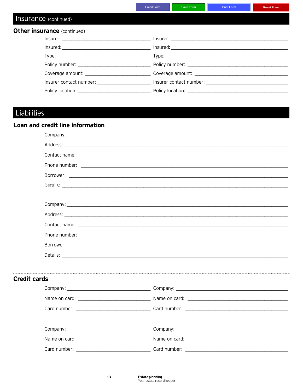|                                                                                                     | Email Form | Save Form | Print Form | <b>Reset Form</b> |
|-----------------------------------------------------------------------------------------------------|------------|-----------|------------|-------------------|
| Insurance (continued)                                                                               |            |           |            |                   |
| <b>Other insurance (continued)</b>                                                                  |            |           |            |                   |
|                                                                                                     |            |           |            |                   |
|                                                                                                     |            |           |            |                   |
|                                                                                                     |            |           |            |                   |
|                                                                                                     |            |           |            |                   |
| Coverage amount: __________________________________Coverage amount: _______________________________ |            |           |            |                   |
| Insurer contact number: and a set of the local property insurer contact number:                     |            |           |            |                   |
|                                                                                                     |            |           |            |                   |

# Liabilities

### Loan and credit line information

| <b>Credit cards</b> |  |
|---------------------|--|
|                     |  |
|                     |  |
|                     |  |
|                     |  |
|                     |  |
|                     |  |